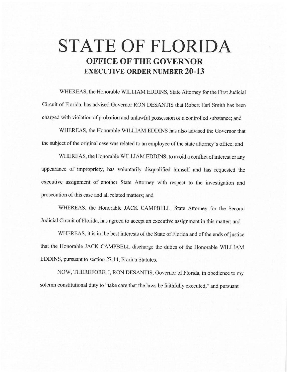## **STATE OF FLORIDA OFFICE OF THE GOVERNOR EXECUTIVE ORDER NUMBER 20-13**

WHEREAS, the Honorable WILLIAM EDDINS, State Attorney for the First Judicial Circuit of Florida, has advised Governor RON DESANTIS that Robert Earl Smith has been charged with violation of probation and unlawful possession of a controlled substance; and

WHEREAS, the Honorable WILLIAM EDDINS has also advised the Governor that the subject of the original case was related to an employee of the state attorney's office; and

WHEREAS, the Honorable WILLIAM EDDINS, to avoid a conflict of interest or any appearance of impropriety, has voluntarily disqualified himself and has requested the executive assignment of another State Attorney with respect to the investigation and prosecution of this case and all related matters; and

WHEREAS, the Honorable JACK CAMPBELL, State Attorney for the Second Judicial Circuit of Florida, has agreed to accept an executive assignment in this matter; and

WHEREAS, it is in the best interests of the State of Florida and of the ends of justice that the Honorable JACK CAMPBELL discharge the duties of the Honorable WILLIAM EDDINS, pursuant to section 27 .14, Florida Statutes.

NOW, THEREFORE, I, RON DESANTIS, Governor of Florida, in obedience to my solemn constitutional duty to "take care that the laws be faithfully executed," and pursuant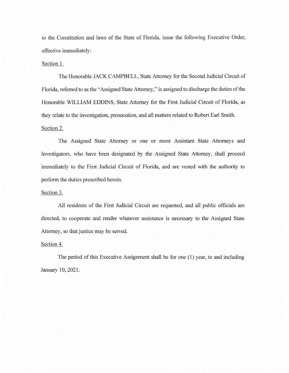to the Constitution and laws of the State of Florida, issue the following Executive Order, effective immediately:

## Section 1.

The Honorable JACK CAMPBELL, State Attorney for the Second Judicial Circuit of Florida, referred to as the "Assigned State Attorney," is assigned to discharge the duties of the Honorable WILLIAM EDDINS, State Attorney for the First Judicial Circuit of Florida, as they relate to the investigation, prosecution, and all matters related to Robert Earl Smith. Section 2.

The Assigned State Attorney or one or more Assistant State Attorneys and Investigators, who have been designated by the Assigned State Attorney, shall proceed immediately to the First Judicial Circuit of Florida, and are vested with the authority to perform the duties prescribed herein.

## Section 3.

All residents of the First Judicial Circuit are requested, and all public officials are directed, to cooperate and render whatever assistance is necessary to the Assigned State Attorney, so that justice may be served.

## Section 4.

The period of this Executive Assignment shall be for one (1) year, to and including January 10, 2021.